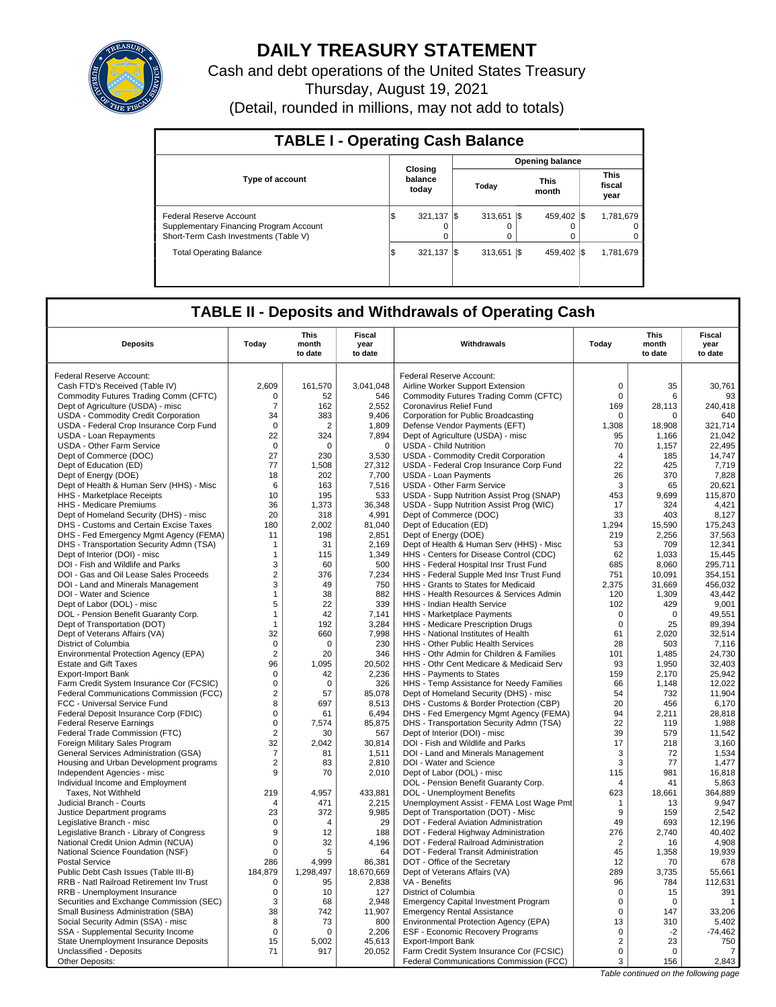

# **DAILY TREASURY STATEMENT**

Cash and debt operations of the United States Treasury Thursday, August 19, 2021 (Detail, rounded in millions, may not add to totals)

| <b>TABLE I - Operating Cash Balance</b>                                                                     |                             |                   |  |                  |      |                      |  |                               |  |  |  |
|-------------------------------------------------------------------------------------------------------------|-----------------------------|-------------------|--|------------------|------|----------------------|--|-------------------------------|--|--|--|
|                                                                                                             | <b>Opening balance</b>      |                   |  |                  |      |                      |  |                               |  |  |  |
| <b>Type of account</b>                                                                                      | Closing<br>balance<br>today |                   |  | Today            |      | <b>This</b><br>month |  | <b>This</b><br>fiscal<br>year |  |  |  |
| Federal Reserve Account<br>Supplementary Financing Program Account<br>Short-Term Cash Investments (Table V) | Φ                           | $321,137$ \$<br>0 |  | $313.651$ S<br>0 |      | 459.402 \\$          |  | 1,781,679<br>0                |  |  |  |
| <b>Total Operating Balance</b>                                                                              | 1\$                         | 321.137 \\$       |  | 313.651          | -1\$ | 459.402 \\$          |  | 1,781,679                     |  |  |  |

## **TABLE II - Deposits and Withdrawals of Operating Cash**

| <b>Deposits</b>                                                  | Today             | <b>This</b><br>month<br>to date | Fiscal<br>year<br>to date | Withdrawals                                                                         | Today            | <b>This</b><br>month<br>to date | <b>Fiscal</b><br>year<br>to date |
|------------------------------------------------------------------|-------------------|---------------------------------|---------------------------|-------------------------------------------------------------------------------------|------------------|---------------------------------|----------------------------------|
| Federal Reserve Account:                                         |                   |                                 |                           | Federal Reserve Account:                                                            |                  |                                 |                                  |
|                                                                  | 2.609             | 161,570                         | 3.041.048                 |                                                                                     | $\mathbf 0$      | 35                              | 30.761                           |
| Cash FTD's Received (Table IV)                                   |                   |                                 |                           | Airline Worker Support Extension                                                    |                  |                                 |                                  |
| Commodity Futures Trading Comm (CFTC)                            | 0                 | 52                              | 546                       | Commodity Futures Trading Comm (CFTC)                                               | $\mathbf 0$      | 6                               | 93                               |
| Dept of Agriculture (USDA) - misc                                | $\overline{7}$    | 162                             | 2,552                     | Coronavirus Relief Fund                                                             | 169              | 28,113                          | 240,418                          |
| USDA - Commodity Credit Corporation                              | 34<br>$\mathbf 0$ | 383                             | 9,406                     | Corporation for Public Broadcasting                                                 | 0                | $\mathbf 0$                     | 640                              |
| USDA - Federal Crop Insurance Corp Fund                          |                   | $\overline{2}$                  | 1,809                     | Defense Vendor Payments (EFT)                                                       | 1,308            | 18,908                          | 321,714                          |
| USDA - Loan Repayments                                           | 22                | 324                             | 7,894                     | Dept of Agriculture (USDA) - misc                                                   | 95               | 1,166                           | 21,042                           |
| <b>USDA - Other Farm Service</b>                                 | $\mathbf 0$       | $\Omega$                        | $\mathbf 0$               | <b>USDA - Child Nutrition</b>                                                       | 70               | 1,157                           | 22,495                           |
| Dept of Commerce (DOC)                                           | 27                | 230                             | 3,530                     | USDA - Commodity Credit Corporation                                                 | 4                | 185                             | 14,747                           |
| Dept of Education (ED)                                           | 77                | 1,508                           | 27,312                    | USDA - Federal Crop Insurance Corp Fund                                             | 22               | 425                             | 7,719                            |
| Dept of Energy (DOE)                                             | 18                | 202                             | 7,700                     | <b>USDA - Loan Payments</b>                                                         | 26               | 370                             | 7,828                            |
| Dept of Health & Human Serv (HHS) - Misc                         | 6                 | 163                             | 7,516                     | <b>USDA - Other Farm Service</b>                                                    | 3                | 65                              | 20.621                           |
| HHS - Marketplace Receipts                                       | 10                | 195                             | 533                       | USDA - Supp Nutrition Assist Prog (SNAP)                                            | 453              | 9,699                           | 115,870                          |
| HHS - Medicare Premiums                                          | 36                | 1,373                           | 36,348                    | USDA - Supp Nutrition Assist Prog (WIC)                                             | 17               | 324                             | 4,421                            |
| Dept of Homeland Security (DHS) - misc                           | 20                | 318                             | 4,991                     | Dept of Commerce (DOC)                                                              | 33               | 403                             | 8,127                            |
| DHS - Customs and Certain Excise Taxes                           | 180               | 2,002                           | 81,040                    | Dept of Education (ED)                                                              | 1,294            | 15,590                          | 175,243                          |
| DHS - Fed Emergency Mgmt Agency (FEMA)                           | 11                | 198                             | 2,851                     | Dept of Energy (DOE)                                                                | 219              | 2,256                           | 37,563                           |
| DHS - Transportation Security Admn (TSA)                         | $\mathbf 1$       | 31                              | 2,169                     | Dept of Health & Human Serv (HHS) - Misc                                            | 53               | 709                             | 12,341                           |
| Dept of Interior (DOI) - misc                                    | 1                 | 115                             | 1,349                     | HHS - Centers for Disease Control (CDC)                                             | 62               | 1,033                           | 15,445                           |
| DOI - Fish and Wildlife and Parks                                | 3                 | 60                              | 500                       | HHS - Federal Hospital Insr Trust Fund                                              | 685              | 8,060                           | 295,711                          |
| DOI - Gas and Oil Lease Sales Proceeds                           | $\overline{2}$    | 376                             | 7,234                     | HHS - Federal Supple Med Insr Trust Fund                                            | 751              | 10.091                          | 354.151                          |
| DOI - Land and Minerals Management                               | 3                 | 49                              | 750                       | HHS - Grants to States for Medicaid                                                 | 2,375            | 31,669                          | 456,032                          |
| DOI - Water and Science                                          | $\mathbf{1}$      | 38                              | 882                       | HHS - Health Resources & Services Admin                                             | 120              | 1,309                           | 43,442                           |
| Dept of Labor (DOL) - misc                                       | 5                 | 22                              | 339                       | <b>HHS - Indian Health Service</b>                                                  | 102              | 429                             | 9.001                            |
| DOL - Pension Benefit Guaranty Corp.                             | $\mathbf{1}$      | 42                              | 7,141                     | HHS - Marketplace Payments                                                          | $\mathbf 0$      | $\Omega$                        | 49,551                           |
| Dept of Transportation (DOT)                                     | $\mathbf{1}$      | 192                             | 3,284                     | HHS - Medicare Prescription Drugs                                                   | $\mathbf 0$      | 25                              | 89,394                           |
| Dept of Veterans Affairs (VA)                                    | 32                | 660                             | 7,998                     | HHS - National Institutes of Health                                                 | 61               | 2.020                           | 32,514                           |
| District of Columbia                                             | $\Omega$          | $\Omega$                        | 230                       | HHS - Other Public Health Services                                                  | 28               | 503                             | 7,116                            |
| Environmental Protection Agency (EPA)                            | $\overline{2}$    | 20                              | 346                       | HHS - Othr Admin for Children & Families                                            | 101              | 1.485                           | 24.730                           |
| <b>Estate and Gift Taxes</b>                                     | 96                | 1,095                           | 20,502                    | HHS - Othr Cent Medicare & Medicaid Serv                                            | 93               | 1,950                           | 32,403                           |
| <b>Export-Import Bank</b>                                        | 0                 | 42                              | 2,236                     | HHS - Payments to States                                                            | 159              | 2.170                           | 25.942                           |
| Farm Credit System Insurance Cor (FCSIC)                         | $\mathbf 0$       | $\mathbf 0$                     | 326                       | HHS - Temp Assistance for Needy Families                                            | 66               | 1,148                           | 12,022                           |
| Federal Communications Commission (FCC)                          | $\overline{2}$    | 57                              | 85.078                    | Dept of Homeland Security (DHS) - misc                                              | 54               | 732                             | 11.904                           |
| FCC - Universal Service Fund                                     | 8                 | 697                             | 8,513                     | DHS - Customs & Border Protection (CBP)                                             | 20               | 456                             | 6,170                            |
| Federal Deposit Insurance Corp (FDIC)                            | $\Omega$          | 61                              | 6,494                     | DHS - Fed Emergency Mgmt Agency (FEMA)                                              | 94               | 2,211                           | 28,818                           |
| <b>Federal Reserve Earnings</b>                                  | $\mathbf 0$       | 7,574                           | 85,875                    | DHS - Transportation Security Admn (TSA)                                            | 22               | 119                             | 1,988                            |
| Federal Trade Commission (FTC)                                   | $\overline{2}$    | 30                              | 567                       | Dept of Interior (DOI) - misc                                                       | 39               | 579                             | 11,542                           |
| Foreign Military Sales Program                                   | 32                | 2,042                           | 30,814                    | DOI - Fish and Wildlife and Parks                                                   | 17               | 218                             | 3,160                            |
| General Services Administration (GSA)                            | $\overline{7}$    | 81                              | 1,511                     | DOI - Land and Minerals Management                                                  | 3                | 72                              | 1,534                            |
| Housing and Urban Development programs                           | $\overline{2}$    | 83                              | 2,810                     | DOI - Water and Science                                                             | 3                | 77                              | 1,477                            |
| Independent Agencies - misc                                      | 9                 | 70                              | 2,010                     | Dept of Labor (DOL) - misc                                                          | 115              | 981                             | 16,818                           |
| Individual Income and Employment                                 |                   |                                 |                           | DOL - Pension Benefit Guaranty Corp.                                                | $\Delta$         | 41                              | 5,863                            |
| Taxes. Not Withheld                                              | 219               | 4.957                           | 433,881                   | DOL - Unemployment Benefits                                                         | 623              | 18.661                          | 364.889                          |
| Judicial Branch - Courts                                         | $\overline{4}$    | 471                             | 2,215                     | Unemployment Assist - FEMA Lost Wage Pmt                                            | 1                | 13                              | 9,947                            |
| Justice Department programs                                      | 23                | 372<br>$\Delta$                 | 9,985                     | Dept of Transportation (DOT) - Misc                                                 | 9                | 159                             | 2.542                            |
| Legislative Branch - misc                                        | $\mathbf 0$<br>9  |                                 | 29<br>188                 | DOT - Federal Aviation Administration                                               | 49<br>276        | 693                             | 12,196                           |
| Legislative Branch - Library of Congress                         |                   | 12                              |                           | DOT - Federal Highway Administration                                                |                  | 2,740                           | 40,402                           |
| National Credit Union Admin (NCUA)                               | $\mathbf 0$       | 32                              | 4,196                     | DOT - Federal Railroad Administration                                               | $\overline{2}$   | 16                              | 4,908                            |
| National Science Foundation (NSF)                                | $\Omega$          | 5                               | 64                        | DOT - Federal Transit Administration                                                | 45               | 1,358                           | 19,939                           |
| <b>Postal Service</b>                                            | 286               | 4,999                           | 86,381                    | DOT - Office of the Secretary                                                       | 12               | 70                              | 678                              |
| Public Debt Cash Issues (Table III-B)                            | 184,879           | 1,298,497                       | 18,670,669                | Dept of Veterans Affairs (VA)                                                       | 289              | 3,735                           | 55,661                           |
| RRB - Natl Railroad Retirement Inv Trust                         | $\Omega$          | 95                              | 2,838                     | VA - Benefits                                                                       | 96               | 784                             | 112,631                          |
| RRB - Unemployment Insurance                                     | $\mathbf 0$       | 10                              | 127                       | District of Columbia                                                                | $\mathbf 0$      | 15                              | 391                              |
| Securities and Exchange Commission (SEC)                         | 3                 | 68                              | 2,948                     | <b>Emergency Capital Investment Program</b>                                         | $\mathbf 0$      | $\Omega$                        | $\mathbf{1}$                     |
| Small Business Administration (SBA)                              | 38                | 742                             | 11,907                    | <b>Emergency Rental Assistance</b>                                                  | 0                | 147                             | 33,206                           |
| Social Security Admin (SSA) - misc                               | 8                 | 73<br>$\Omega$                  | 800                       | Environmental Protection Agency (EPA)                                               | 13               | 310                             | 5,402                            |
| SSA - Supplemental Security Income                               | $\mathbf 0$       |                                 | 2,206                     | <b>ESF - Economic Recovery Programs</b>                                             | 0                | $-2$                            | $-74,462$                        |
| State Unemployment Insurance Deposits<br>Unclassified - Deposits | 15<br>71          | 5,002<br>917                    | 45,613<br>20,052          | <b>Export-Import Bank</b>                                                           | 2<br>$\mathbf 0$ | 23<br>$\Omega$                  | 750<br>7                         |
| Other Deposits:                                                  |                   |                                 |                           | Farm Credit System Insurance Cor (FCSIC)<br>Federal Communications Commission (FCC) | 3                | 156                             | 2,843                            |
|                                                                  |                   |                                 |                           |                                                                                     |                  |                                 |                                  |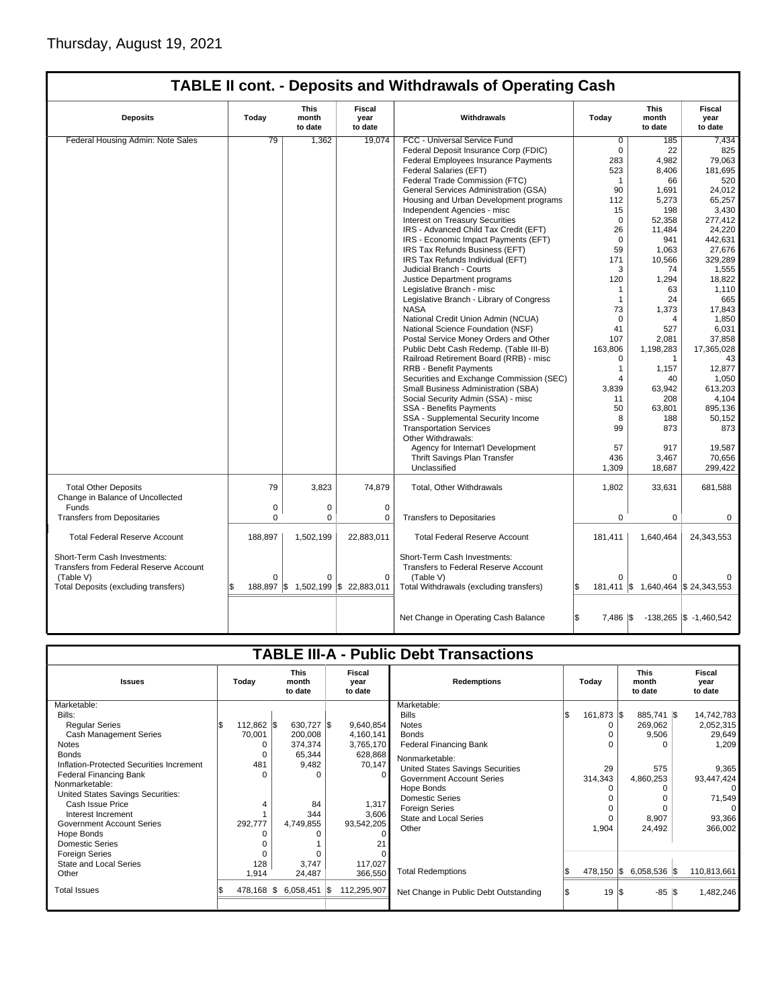| <b>TABLE II cont. - Deposits and Withdrawals of Operating Cash</b> |
|--------------------------------------------------------------------|
|--------------------------------------------------------------------|

| <b>Deposits</b>                                                        | Today    | This<br>month<br>to date | Fiscal<br>year<br>to date        | Withdrawals                                                          | Today                       | This<br>month<br>to date             | Fiscal<br>year<br>to date          |
|------------------------------------------------------------------------|----------|--------------------------|----------------------------------|----------------------------------------------------------------------|-----------------------------|--------------------------------------|------------------------------------|
| Federal Housing Admin: Note Sales                                      | 79       | 1,362                    | 19,074                           | FCC - Universal Service Fund                                         | $\overline{0}$              | 185                                  | 7,434                              |
|                                                                        |          |                          |                                  | Federal Deposit Insurance Corp (FDIC)                                | $\mathbf 0$                 | 22                                   | 825                                |
|                                                                        |          |                          |                                  | Federal Employees Insurance Payments                                 | 283                         | 4,982                                | 79,063                             |
|                                                                        |          |                          |                                  | Federal Salaries (EFT)                                               | 523                         | 8,406                                | 181,695                            |
|                                                                        |          |                          |                                  | Federal Trade Commission (FTC)                                       | $\mathbf 1$                 | 66                                   | 520                                |
|                                                                        |          |                          |                                  | General Services Administration (GSA)                                | 90                          | 1,691                                | 24,012                             |
|                                                                        |          |                          |                                  | Housing and Urban Development programs                               | 112                         | 5,273                                | 65,257                             |
|                                                                        |          |                          |                                  | Independent Agencies - misc                                          | 15                          | 198                                  | 3,430                              |
|                                                                        |          |                          |                                  | <b>Interest on Treasury Securities</b>                               | $\Omega$                    | 52.358                               | 277.412                            |
|                                                                        |          |                          |                                  | IRS - Advanced Child Tax Credit (EFT)                                | 26                          | 11,484                               | 24,220                             |
|                                                                        |          |                          |                                  |                                                                      | $\mathbf 0$                 |                                      |                                    |
|                                                                        |          |                          |                                  | IRS - Economic Impact Payments (EFT)                                 |                             | 941                                  | 442,631                            |
|                                                                        |          |                          |                                  | IRS Tax Refunds Business (EFT)                                       | 59                          | 1,063                                | 27,676                             |
|                                                                        |          |                          |                                  | IRS Tax Refunds Individual (EFT)                                     | 171                         | 10,566                               | 329,289                            |
|                                                                        |          |                          |                                  | Judicial Branch - Courts                                             | 3                           | 74                                   | 1,555                              |
|                                                                        |          |                          |                                  | Justice Department programs                                          | 120                         | 1,294                                | 18,822                             |
|                                                                        |          |                          |                                  | Legislative Branch - misc                                            | $\mathbf{1}$                | 63                                   | 1,110                              |
|                                                                        |          |                          |                                  | Legislative Branch - Library of Congress                             | 1                           | 24                                   | 665                                |
|                                                                        |          |                          |                                  | <b>NASA</b>                                                          | 73                          | 1,373                                | 17,843                             |
|                                                                        |          |                          |                                  | National Credit Union Admin (NCUA)                                   | $\mathbf 0$                 | 4                                    | 1,850                              |
|                                                                        |          |                          |                                  | National Science Foundation (NSF)                                    | 41                          | 527                                  | 6,031                              |
|                                                                        |          |                          |                                  | Postal Service Money Orders and Other                                | 107                         | 2,081                                | 37,858                             |
|                                                                        |          |                          |                                  | Public Debt Cash Redemp. (Table III-B)                               | 163,806                     | 1,198,283                            | 17,365,028                         |
|                                                                        |          |                          |                                  | Railroad Retirement Board (RRB) - misc                               | $\mathbf 0$                 | $\mathbf{1}$                         | 43                                 |
|                                                                        |          |                          |                                  | <b>RRB - Benefit Payments</b>                                        | $\mathbf{1}$                | 1,157                                | 12,877                             |
|                                                                        |          |                          |                                  | Securities and Exchange Commission (SEC)                             | 4                           | 40                                   | 1,050                              |
|                                                                        |          |                          |                                  | Small Business Administration (SBA)                                  | 3,839                       | 63,942                               | 613,203                            |
|                                                                        |          |                          |                                  | Social Security Admin (SSA) - misc                                   | 11                          | 208                                  | 4.104                              |
|                                                                        |          |                          |                                  | SSA - Benefits Payments                                              | 50                          | 63,801                               | 895,136                            |
|                                                                        |          |                          |                                  | SSA - Supplemental Security Income                                   | 8                           | 188                                  | 50.152                             |
|                                                                        |          |                          |                                  | <b>Transportation Services</b>                                       | 99                          | 873                                  | 873                                |
|                                                                        |          |                          |                                  | Other Withdrawals:                                                   |                             |                                      |                                    |
|                                                                        |          |                          |                                  | Agency for Internat'l Development                                    | 57                          | 917                                  | 19,587                             |
|                                                                        |          |                          |                                  | Thrift Savings Plan Transfer                                         | 436                         | 3,467                                | 70,656                             |
|                                                                        |          |                          |                                  | Unclassified                                                         | 1,309                       | 18,687                               | 299,422                            |
|                                                                        |          |                          |                                  |                                                                      |                             |                                      |                                    |
| <b>Total Other Deposits</b><br>Change in Balance of Uncollected        | 79       | 3,823                    | 74,879                           | Total, Other Withdrawals                                             | 1,802                       | 33,631                               | 681,588                            |
| Funds                                                                  | 0        | 0                        | $\mathbf 0$                      |                                                                      |                             |                                      |                                    |
| <b>Transfers from Depositaries</b>                                     | $\Omega$ | $\Omega$                 | $\Omega$                         | <b>Transfers to Depositaries</b>                                     | $\mathbf 0$                 | 0                                    | 0                                  |
|                                                                        |          |                          |                                  |                                                                      |                             |                                      |                                    |
| <b>Total Federal Reserve Account</b>                                   | 188,897  | 1,502,199                | 22,883,011                       | <b>Total Federal Reserve Account</b>                                 | 181,411                     | 1,640,464                            | 24,343,553                         |
| Short-Term Cash Investments:<br>Transfers from Federal Reserve Account |          |                          |                                  | Short-Term Cash Investments:<br>Transfers to Federal Reserve Account |                             |                                      |                                    |
| (Table V)                                                              | $\Omega$ | $\Omega$                 | $\Omega$                         | (Table V)                                                            | $\Omega$                    |                                      |                                    |
| Total Deposits (excluding transfers)                                   |          |                          | 188,897 \$1,502,199 \$22,883,011 | Total Withdrawals (excluding transfers)                              | ß.                          | 181,411   \$1,640,464   \$24,343,553 |                                    |
|                                                                        |          |                          |                                  |                                                                      |                             |                                      |                                    |
|                                                                        |          |                          |                                  | Net Change in Operating Cash Balance                                 | S.<br>$7,486$ $\frac{1}{3}$ |                                      | $-138,265$ $\sqrt{3}$ $-1,460,542$ |

|                                          |       |              |                 |             | <b>TABLE III-A - Public Debt Transactions</b> |     |              |     |                |             |                                 |                           |                    |  |       |  |                                 |                           |
|------------------------------------------|-------|--------------|-----------------|-------------|-----------------------------------------------|-----|--------------|-----|----------------|-------------|---------------------------------|---------------------------|--------------------|--|-------|--|---------------------------------|---------------------------|
|                                          |       |              |                 |             |                                               |     |              |     |                |             |                                 |                           |                    |  |       |  |                                 |                           |
| <b>Issues</b>                            | Today |              |                 |             |                                               |     |              |     |                |             | <b>This</b><br>month<br>to date | Fiscal<br>year<br>to date | <b>Redemptions</b> |  | Todav |  | <b>This</b><br>month<br>to date | Fiscal<br>year<br>to date |
| Marketable:                              |       |              |                 |             | Marketable:                                   |     |              |     |                |             |                                 |                           |                    |  |       |  |                                 |                           |
| Bills:                                   |       |              |                 |             | <b>Bills</b>                                  | l\$ | 161,873 \$   |     | 885,741 \$     | 14,742,783  |                                 |                           |                    |  |       |  |                                 |                           |
| <b>Regular Series</b>                    |       | $112,862$ \$ | 630,727 \$      | 9,640,854   | <b>Notes</b>                                  |     |              |     | 269,062        | 2,052,315   |                                 |                           |                    |  |       |  |                                 |                           |
| <b>Cash Management Series</b>            |       | 70,001       | 200,008         | 4,160,141   | <b>Bonds</b>                                  |     |              |     | 9,506          | 29,649      |                                 |                           |                    |  |       |  |                                 |                           |
| Notes                                    |       | 0            | 374,374         | 3,765,170   | <b>Federal Financing Bank</b>                 |     |              |     | $\Omega$       | 1,209       |                                 |                           |                    |  |       |  |                                 |                           |
| <b>Bonds</b>                             |       | 0            | 65,344          | 628,868     | Nonmarketable:                                |     |              |     |                |             |                                 |                           |                    |  |       |  |                                 |                           |
| Inflation-Protected Securities Increment |       | 481          | 9,482           | 70,147      | United States Savings Securities              |     | 29           |     | 575            | 9,365       |                                 |                           |                    |  |       |  |                                 |                           |
| <b>Federal Financing Bank</b>            |       |              |                 | $\Omega$    | <b>Government Account Series</b>              |     | 314,343      |     | 4,860,253      | 93,447,424  |                                 |                           |                    |  |       |  |                                 |                           |
| Nonmarketable:                           |       |              |                 |             | Hope Bonds                                    |     |              |     | 0              | $\Omega$    |                                 |                           |                    |  |       |  |                                 |                           |
| United States Savings Securities:        |       |              |                 |             | Domestic Series                               |     |              |     | O              | 71,549      |                                 |                           |                    |  |       |  |                                 |                           |
| Cash Issue Price                         |       |              | 84              | 1,317       | Foreign Series                                |     |              |     | U              | $\Omega$    |                                 |                           |                    |  |       |  |                                 |                           |
| Interest Increment                       |       |              | 344             | 3,606       | State and Local Series                        |     |              |     | 8,907          | 93,366      |                                 |                           |                    |  |       |  |                                 |                           |
| <b>Government Account Series</b>         |       | 292,777      | 4,749,855       | 93,542,205  | Other                                         |     | 1,904        |     | 24,492         | 366,002     |                                 |                           |                    |  |       |  |                                 |                           |
| Hope Bonds                               |       |              |                 |             |                                               |     |              |     |                |             |                                 |                           |                    |  |       |  |                                 |                           |
| <b>Domestic Series</b>                   |       |              |                 |             |                                               |     |              |     |                |             |                                 |                           |                    |  |       |  |                                 |                           |
| <b>Foreign Series</b>                    |       |              |                 |             |                                               |     |              |     |                |             |                                 |                           |                    |  |       |  |                                 |                           |
| State and Local Series                   |       | 128          | 3.747           | 117,027     | <b>Total Redemptions</b>                      |     | $478,150$ \$ |     | $6,058,536$ \$ | 110,813,661 |                                 |                           |                    |  |       |  |                                 |                           |
| Other                                    |       | 1,914        | 24,487          | 366,550     |                                               |     |              |     |                |             |                                 |                           |                    |  |       |  |                                 |                           |
| <b>Total Issues</b>                      |       | 478,168 \$   | $6,058,451$ \\$ | 112,295,907 | Net Change in Public Debt Outstanding         |     | 19           | I\$ | $-85$ \$       | 1,482,246   |                                 |                           |                    |  |       |  |                                 |                           |
|                                          |       |              |                 |             |                                               |     |              |     |                |             |                                 |                           |                    |  |       |  |                                 |                           |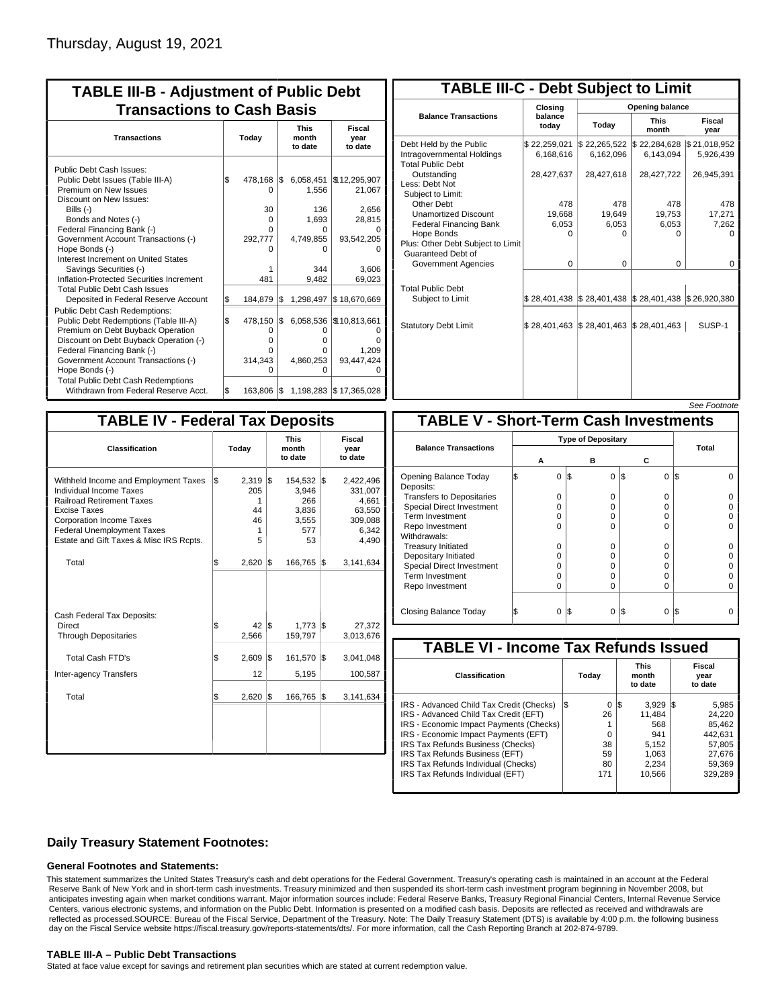| <b>TABLE III-B - Adjustment of Public Debt</b><br><b>Transactions to Cash Basis</b>                                                                                                                                                                                                         |           |                                                   |           |                                                         |                                                     |  |  |  |  |  |  |  |  |  |  |                                 |                                  |
|---------------------------------------------------------------------------------------------------------------------------------------------------------------------------------------------------------------------------------------------------------------------------------------------|-----------|---------------------------------------------------|-----------|---------------------------------------------------------|-----------------------------------------------------|--|--|--|--|--|--|--|--|--|--|---------------------------------|----------------------------------|
| <b>Transactions</b>                                                                                                                                                                                                                                                                         | Today     |                                                   |           |                                                         |                                                     |  |  |  |  |  |  |  |  |  |  | <b>This</b><br>month<br>to date | <b>Fiscal</b><br>year<br>to date |
| Public Debt Cash Issues:<br>Public Debt Issues (Table III-A)<br>Premium on New Issues<br>Discount on New Issues:<br>Bills $(-)$<br>Bonds and Notes (-)<br>Federal Financing Bank (-)                                                                                                        | \$        | 478,168<br>0<br>30<br>0<br>0                      | I\$       | 6,058,451<br>1,556<br>136<br>1.693<br>o                 | \$12,295,907<br>21,067<br>2,656<br>28,815           |  |  |  |  |  |  |  |  |  |  |                                 |                                  |
| Government Account Transactions (-)<br>Hope Bonds (-)<br>Interest Increment on United States<br>Savings Securities (-)<br>Inflation-Protected Securities Increment<br><b>Total Public Debt Cash Issues</b>                                                                                  |           | 292,777<br>n<br>481                               |           | 4,749,855<br>n<br>344<br>9,482                          | 93,542,205<br>3.606<br>69,023                       |  |  |  |  |  |  |  |  |  |  |                                 |                                  |
| Deposited in Federal Reserve Account<br><b>Public Debt Cash Redemptions:</b><br>Public Debt Redemptions (Table III-A)<br>Premium on Debt Buyback Operation<br>Discount on Debt Buyback Operation (-)<br>Federal Financing Bank (-)<br>Government Account Transactions (-)<br>Hope Bonds (-) | \$<br>l\$ | 184.879<br>478,150<br>0<br>o<br>n<br>314,343<br>U | l\$<br>\$ | 1,298,497<br>6,058,536<br>O<br>o<br>o<br>4,860,253<br>ი | \$18,670,669<br>\$10,813,661<br>1,209<br>93,447,424 |  |  |  |  |  |  |  |  |  |  |                                 |                                  |
| <b>Total Public Debt Cash Redemptions</b><br>Withdrawn from Federal Reserve Acct.                                                                                                                                                                                                           | l\$       | 163,806 \$                                        |           |                                                         | 1,198,283 \$17,365,028                              |  |  |  |  |  |  |  |  |  |  |                                 |                                  |

| <b>TABLE III-C - Debt Subject to Limit</b>                                        |                           |                                                                                                     |                           |                           |  |  |  |  |  |  |
|-----------------------------------------------------------------------------------|---------------------------|-----------------------------------------------------------------------------------------------------|---------------------------|---------------------------|--|--|--|--|--|--|
|                                                                                   | Closing                   | Opening balance                                                                                     |                           |                           |  |  |  |  |  |  |
| <b>Balance Transactions</b>                                                       | balance<br>today          | Today                                                                                               | <b>This</b><br>month      | Fiscal<br>year            |  |  |  |  |  |  |
| Debt Held by the Public<br>Intragovernmental Holdings<br><b>Total Public Debt</b> | \$22,259,021<br>6,168,616 | \$22,265,522<br>6,162,096                                                                           | \$22,284,628<br>6,143,094 | \$21,018,952<br>5,926,439 |  |  |  |  |  |  |
| Outstanding<br>Less: Debt Not<br>Subiect to Limit:                                | 28,427,637                | 28,427,618                                                                                          | 28,427,722                | 26,945,391                |  |  |  |  |  |  |
| Other Debt                                                                        | 478                       | 478                                                                                                 | 478                       | 478                       |  |  |  |  |  |  |
| <b>Unamortized Discount</b>                                                       | 19,668                    | 19,649                                                                                              | 19,753                    | 17,271                    |  |  |  |  |  |  |
| <b>Federal Financing Bank</b>                                                     | 6,053                     | 6,053                                                                                               | 6,053                     | 7,262                     |  |  |  |  |  |  |
| Hope Bonds<br>Plus: Other Debt Subject to Limit<br>Guaranteed Debt of             | $\Omega$                  | $\Omega$                                                                                            | 0                         | $\Omega$                  |  |  |  |  |  |  |
| Government Agencies                                                               | $\Omega$                  | $\Omega$                                                                                            | $\Omega$                  | 0                         |  |  |  |  |  |  |
| <b>Total Public Debt</b><br>Subject to Limit                                      |                           | $\frac{1}{2}$ 28,401,438 $\frac{1}{2}$ 28,401,438 $\frac{1}{2}$ 28,401,438 $\frac{1}{2}$ 26,920,380 |                           |                           |  |  |  |  |  |  |
| <b>Statutory Debt Limit</b>                                                       | \$28.401.463 \$28.401.463 |                                                                                                     | \$28,401,463              | SUSP-1                    |  |  |  |  |  |  |
|                                                                                   |                           |                                                                                                     |                           |                           |  |  |  |  |  |  |

### See Footnote

| <b>TABLE IV - Federal Tax Deposits</b>                                                                                                                                                                                                        |     |                                         |     |                                                           |     |                                                                      |
|-----------------------------------------------------------------------------------------------------------------------------------------------------------------------------------------------------------------------------------------------|-----|-----------------------------------------|-----|-----------------------------------------------------------|-----|----------------------------------------------------------------------|
| Classification                                                                                                                                                                                                                                |     | Today                                   |     | <b>This</b><br>month<br>to date                           |     | <b>Fiscal</b><br>year<br>to date                                     |
| Withheld Income and Employment Taxes<br>Individual Income Taxes<br><b>Railroad Retirement Taxes</b><br><b>Excise Taxes</b><br><b>Corporation Income Taxes</b><br><b>Federal Unemployment Taxes</b><br>Estate and Gift Taxes & Misc IRS Rcpts. | l\$ | 2,319<br>205<br>1<br>44<br>46<br>1<br>5 | l\$ | 154,532 \$<br>3,946<br>266<br>3,836<br>3,555<br>577<br>53 |     | 2,422,496<br>331,007<br>4,661<br>63,550<br>309,088<br>6,342<br>4,490 |
| Total                                                                                                                                                                                                                                         | \$  | 2,620                                   | 1\$ | 166,765                                                   | 1\$ | 3,141,634                                                            |
| Cash Federal Tax Deposits:<br>Direct<br><b>Through Depositaries</b>                                                                                                                                                                           | \$  | 42 S<br>2,566                           |     | $1,773$ $\sqrt{3}$<br>159,797                             |     | 27,372<br>3,013,676                                                  |
| Total Cash FTD's<br>Inter-agency Transfers                                                                                                                                                                                                    | \$  | 2,609<br>12                             | 1\$ | 161,570<br>5,195                                          | l\$ | 3,041,048<br>100,587                                                 |
| Total                                                                                                                                                                                                                                         | \$  | 2,620                                   | l\$ | 166,765                                                   | 1\$ | 3,141,634                                                            |
|                                                                                                                                                                                                                                               |     |                                         |     |                                                           |     |                                                                      |

| <b>TABLE V - Short-Term Cash Investments</b> |   |                           |          |       |  |  |  |  |  |  |
|----------------------------------------------|---|---------------------------|----------|-------|--|--|--|--|--|--|
|                                              |   | <b>Type of Depositary</b> |          |       |  |  |  |  |  |  |
| <b>Balance Transactions</b>                  |   |                           |          | Total |  |  |  |  |  |  |
|                                              | А | в                         | С        |       |  |  |  |  |  |  |
| Opening Balance Today<br>Deposits:           | 0 | 1\$<br>0                  | 0<br>1\$ | l\$   |  |  |  |  |  |  |
| <b>Transfers to Depositaries</b>             | O | $\Omega$                  | O        |       |  |  |  |  |  |  |
| <b>Special Direct Investment</b>             | 0 | 0                         | O        |       |  |  |  |  |  |  |
| Term Investment                              | O | 0                         | 0        |       |  |  |  |  |  |  |
| Repo Investment                              | O | $\Omega$                  | O        |       |  |  |  |  |  |  |
| Withdrawals:                                 |   |                           |          |       |  |  |  |  |  |  |
| <b>Treasury Initiated</b>                    | O | 0                         | O        |       |  |  |  |  |  |  |
| Depositary Initiated                         | O | 0                         | 0        |       |  |  |  |  |  |  |
| <b>Special Direct Investment</b>             | O | 0                         | 0        |       |  |  |  |  |  |  |
| <b>Term Investment</b>                       | O | $\Omega$                  | O        |       |  |  |  |  |  |  |
| Repo Investment                              | 0 | $\Omega$                  | 0        |       |  |  |  |  |  |  |
|                                              |   |                           |          |       |  |  |  |  |  |  |
| Closing Balance Today                        | 0 | I\$<br>0                  | I\$<br>0 | I\$   |  |  |  |  |  |  |

| <b>TABLE VI - Income Tax Refunds Issued</b> |     |       |     |                                 |     |                           |  |  |  |  |
|---------------------------------------------|-----|-------|-----|---------------------------------|-----|---------------------------|--|--|--|--|
| Classification                              |     | Today |     | <b>This</b><br>month<br>to date |     | Fiscal<br>year<br>to date |  |  |  |  |
| IRS - Advanced Child Tax Credit (Checks)    | l\$ | 0     | l\$ | 3.929                           | I\$ | 5,985                     |  |  |  |  |
| IRS - Advanced Child Tax Credit (EFT)       |     | 26    |     | 11.484                          |     | 24.220                    |  |  |  |  |
| IRS - Economic Impact Payments (Checks)     |     |       |     | 568                             |     | 85.462                    |  |  |  |  |
| IRS - Economic Impact Payments (EFT)        |     | 0     |     | 941                             |     | 442.631                   |  |  |  |  |
| IRS Tax Refunds Business (Checks)           |     | 38    |     | 5,152                           |     | 57,805                    |  |  |  |  |
| IRS Tax Refunds Business (EFT)              |     | 59    |     | 1.063                           |     | 27.676                    |  |  |  |  |
| IRS Tax Refunds Individual (Checks)         |     | 80    |     | 2.234                           |     | 59,369                    |  |  |  |  |
| IRS Tax Refunds Individual (EFT)            |     | 171   |     | 10.566                          |     | 329.289                   |  |  |  |  |

## **Daily Treasury Statement Footnotes:**

### **General Footnotes and Statements:**

This statement summarizes the United States Treasury's cash and debt operations for the Federal Government. Treasury's operating cash is maintained in an account at the Federal Reserve Bank of New York and in short-term cash investments. Treasury minimized and then suspended its short-term cash investment program beginning in November 2008, but anticipates investing again when market conditions warrant. Major information sources include: Federal Reserve Banks, Treasury Regional Financial Centers, Internal Revenue Service Centers, various electronic systems, and information on the Public Debt. Information is presented on a modified cash basis. Deposits are reflected as received and withdrawals are reflected as processed.SOURCE: Bureau of the Fiscal Service, Department of the Treasury. Note: The Daily Treasury Statement (DTS) is available by 4:00 p.m. the following business day on the Fiscal Service website https://fiscal.treasury.gov/reports-statements/dts/. For more information, call the Cash Reporting Branch at 202-874-9789.

## **TABLE III-A – Public Debt Transactions**

Stated at face value except for savings and retirement plan securities which are stated at current redemption value.